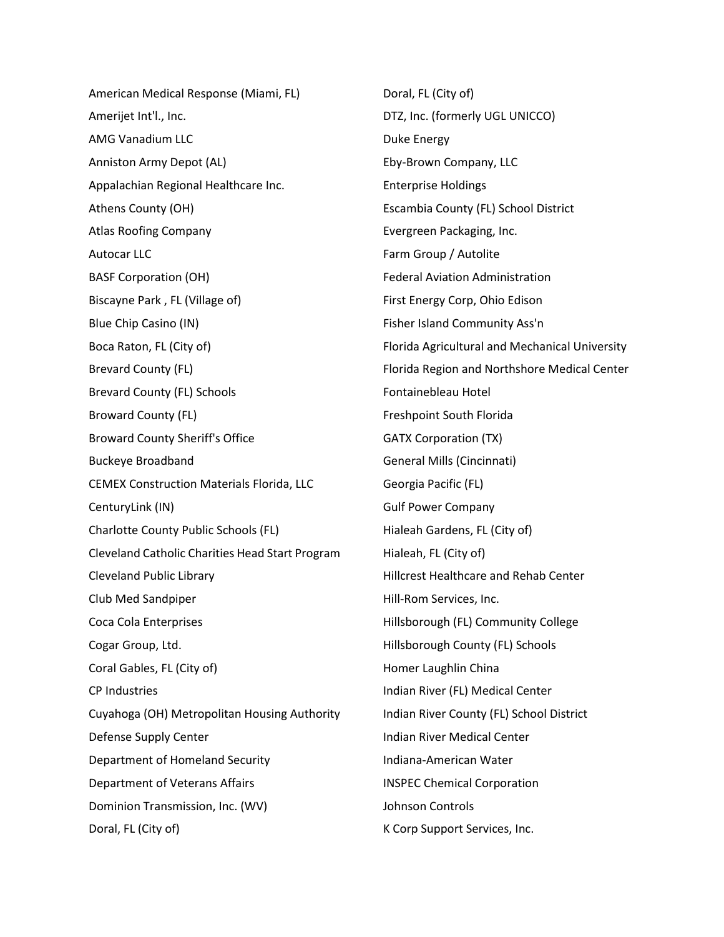American Medical Response (Miami, FL) Amerijet Int'l., Inc. AMG Vanadium LLC Anniston Army Depot (AL) Appalachian Regional Healthcare Inc. Athens County (OH) Atlas Roofing Company Autocar LLC BASF Corporation (OH) Biscayne Park , FL (Village of) Blue Chip Casino (IN) Boca Raton, FL (City of) Brevard County (FL) Brevard County (FL) Schools Broward County (FL) Broward County Sheriff's Office Buckeye Broadband CEMEX Construction Materials Florida, LLC CenturyLink (IN) Charlotte County Public Schools (FL) Cleveland Catholic Charities Head Start Program Cleveland Public Library Club Med Sandpiper Coca Cola Enterprises Cogar Group, Ltd. Coral Gables, FL (City of) CP Industries Cuyahoga (OH) Metropolitan Housing Authority Defense Supply Center Department of Homeland Security Department of Veterans Affairs Dominion Transmission, Inc. (WV) Doral, FL (City of)

Doral, FL (City of) DTZ, Inc. (formerly UGL UNICCO) Duke Energy Eby-Brown Company, LLC Enterprise Holdings Escambia County (FL) School District Evergreen Packaging, Inc. Farm Group / Autolite Federal Aviation Administration First Energy Corp, Ohio Edison Fisher Island Community Ass'n Florida Agricultural and Mechanical University Florida Region and Northshore Medical Center Fontainebleau Hotel Freshpoint South Florida GATX Corporation (TX) General Mills (Cincinnati) Georgia Pacific (FL) Gulf Power Company Hialeah Gardens, FL (City of) Hialeah, FL (City of) Hillcrest Healthcare and Rehab Center Hill-Rom Services, Inc. Hillsborough (FL) Community College Hillsborough County (FL) Schools Homer Laughlin China Indian River (FL) Medical Center Indian River County (FL) School District Indian River Medical Center Indiana-American Water INSPEC Chemical Corporation Johnson Controls K Corp Support Services, Inc.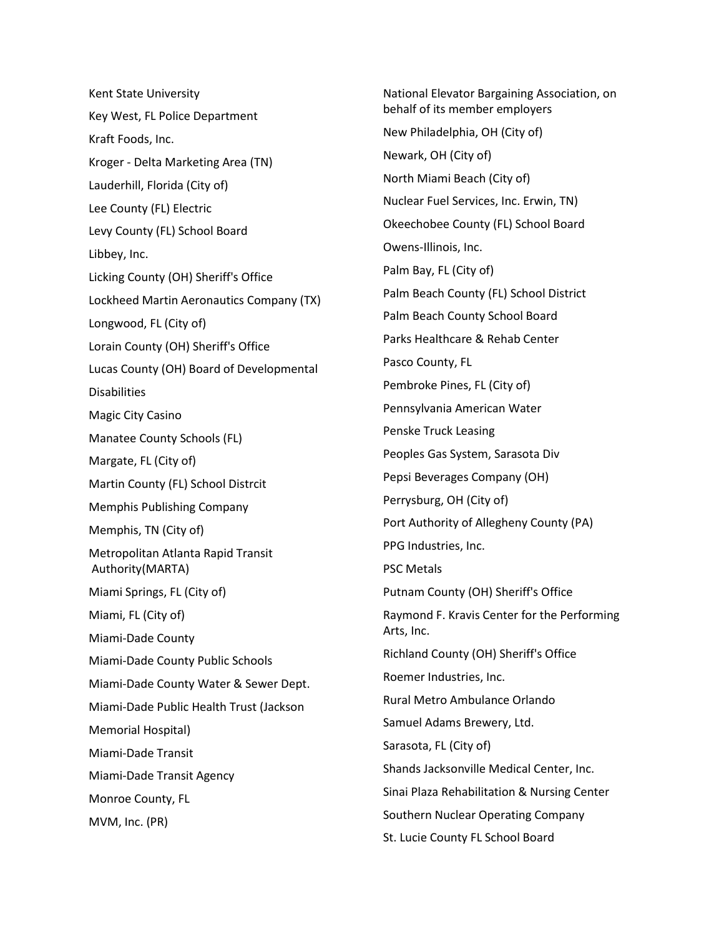Kent State University Key West, FL Police Department Kraft Foods, Inc. Kroger - Delta Marketing Area (TN) Lauderhill, Florida (City of) Lee County (FL) Electric Levy County (FL) School Board Libbey, Inc. Licking County (OH) Sheriff's Office Lockheed Martin Aeronautics Company (TX) Longwood, FL (City of) Lorain County (OH) Sheriff's Office Lucas County (OH) Board of Developmental **Disabilities** Magic City Casino Manatee County Schools (FL) Margate, FL (City of) Martin County (FL) School Distrcit Memphis Publishing Company Memphis, TN (City of) Metropolitan Atlanta Rapid Transit Authority(MARTA) Miami Springs, FL (City of) Miami, FL (City of) Miami-Dade County Miami-Dade County Public Schools Miami-Dade County Water & Sewer Dept. Miami-Dade Public Health Trust (Jackson Memorial Hospital) Miami-Dade Transit Miami-Dade Transit Agency Monroe County, FL MVM, Inc. (PR)

National Elevator Bargaining Association, on behalf of its member employers New Philadelphia, OH (City of) Newark, OH (City of) North Miami Beach (City of) Nuclear Fuel Services, Inc. Erwin, TN) Okeechobee County (FL) School Board Owens-Illinois, Inc. Palm Bay, FL (City of) Palm Beach County (FL) School District Palm Beach County School Board Parks Healthcare & Rehab Center Pasco County, FL Pembroke Pines, FL (City of) Pennsylvania American Water Penske Truck Leasing Peoples Gas System, Sarasota Div Pepsi Beverages Company (OH) Perrysburg, OH (City of) Port Authority of Allegheny County (PA) PPG Industries, Inc. PSC Metals Putnam County (OH) Sheriff's Office Raymond F. Kravis Center for the Performing Arts, Inc. Richland County (OH) Sheriff's Office Roemer Industries, Inc. Rural Metro Ambulance Orlando Samuel Adams Brewery, Ltd. Sarasota, FL (City of) Shands Jacksonville Medical Center, Inc. Sinai Plaza Rehabilitation & Nursing Center Southern Nuclear Operating Company St. Lucie County FL School Board